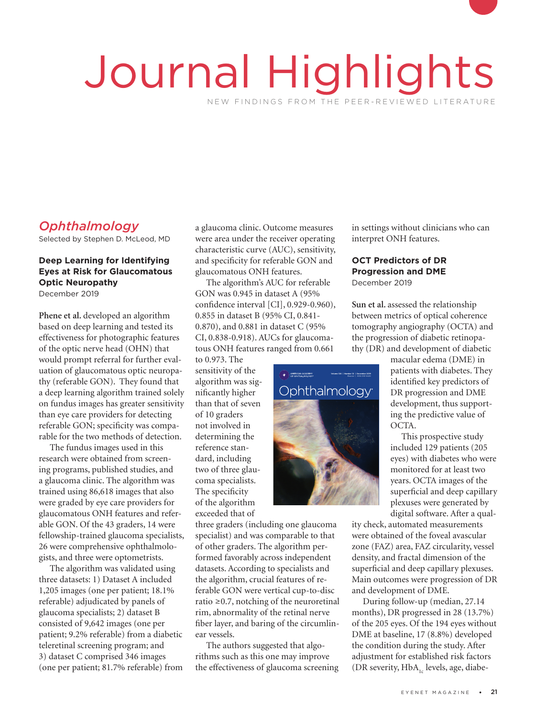# Journal Highlights NEW FINDINGS FROM THE PEER-REVIEWED LITERATURE

# *Ophthalmology*

Selected by Stephen D. McLeod, MD

#### **Deep Learning for Identifying Eyes at Risk for Glaucomatous Optic Neuropathy** December 2019

**Phene et al.** developed an algorithm based on deep learning and tested its effectiveness for photographic features of the optic nerve head (OHN) that would prompt referral for further evaluation of glaucomatous optic neuropathy (referable GON). They found that a deep learning algorithm trained solely on fundus images has greater sensitivity than eye care providers for detecting referable GON; specificity was comparable for the two methods of detection.

The fundus images used in this research were obtained from screening programs, published studies, and a glaucoma clinic. The algorithm was trained using 86,618 images that also were graded by eye care providers for glaucomatous ONH features and referable GON. Of the 43 graders, 14 were fellowship-trained glaucoma specialists, 26 were comprehensive ophthalmologists, and three were optometrists.

The algorithm was validated using three datasets: 1) Dataset A included 1,205 images (one per patient; 18.1% referable) adjudicated by panels of glaucoma specialists; 2) dataset B consisted of 9,642 images (one per patient; 9.2% referable) from a diabetic teleretinal screening program; and 3) dataset C comprised 346 images (one per patient; 81.7% referable) from

a glaucoma clinic. Outcome measures were area under the receiver operating characteristic curve (AUC), sensitivity, and specificity for referable GON and glaucomatous ONH features.

The algorithm's AUC for referable GON was 0.945 in dataset A (95% confidence interval [CI], 0.929-0.960), 0.855 in dataset B (95% CI, 0.841- 0.870), and 0.881 in dataset C (95% CI, 0.838-0.918). AUCs for glaucomatous ONH features ranged from 0.661

to 0.973. The sensitivity of the algorithm was significantly higher than that of seven of 10 graders not involved in determining the reference standard, including two of three glaucoma specialists. The specificity of the algorithm exceeded that of IN TO grace<br>leterminin<br>eference st

three graders (including one glaucoma specialist) and was comparable to that of other graders. The algorithm performed favorably across independent datasets. According to specialists and the algorithm, crucial features of referable GON were vertical cup-to-disc ratio ≥0.7, notching of the neuroretinal rim, abnormality of the retinal nerve fiber layer, and baring of the circumlinear vessels.

The authors suggested that algorithms such as this one may improve the effectiveness of glaucoma screening in settings without clinicians who can interpret ONH features.

## **OCT Predictors of DR Progression and DME**

December 2019

**Sun et al.** assessed the relationship between metrics of optical coherence tomography angiography (OCTA) and the progression of diabetic retinopathy (DR) and development of diabetic

macular edema (DME) in patients with diabetes. They identified key predictors of DR progression and DME development, thus supporting the predictive value of OCTA.

This prospective study included 129 patients (205 eyes) with diabetes who were monitored for at least two years. OCTA images of the superficial and deep capillary plexuses were generated by digital software. After a qual-

ity check, automated measurements were obtained of the foveal avascular zone (FAZ) area, FAZ circularity, vessel density, and fractal dimension of the superficial and deep capillary plexuses. Main outcomes were progression of DR and development of DME.

During follow-up (median, 27.14 months), DR progressed in 28 (13.7%) of the 205 eyes. Of the 194 eyes without DME at baseline, 17 (8.8%) developed the condition during the study. After adjustment for established risk factors (DR severity,  $HbA_{1c}$  levels, age, diabe-

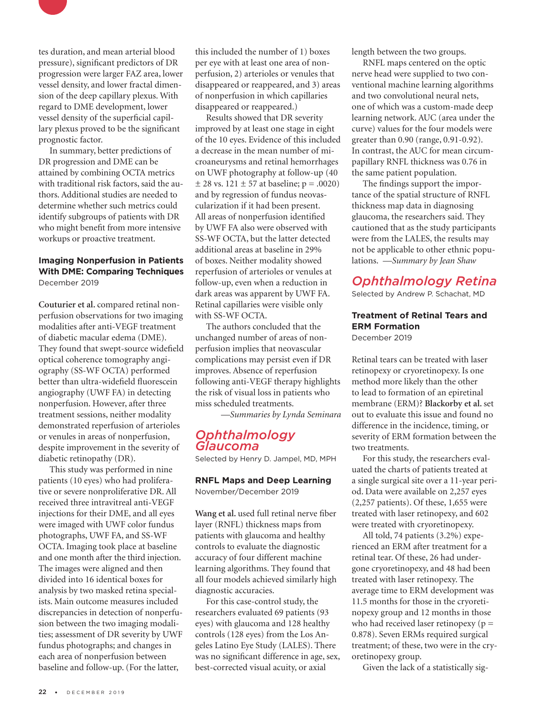

tes duration, and mean arterial blood pressure), significant predictors of DR progression were larger FAZ area, lower vessel density, and lower fractal dimension of the deep capillary plexus. With regard to DME development, lower vessel density of the superficial capillary plexus proved to be the significant prognostic factor.

In summary, better predictions of DR progression and DME can be attained by combining OCTA metrics with traditional risk factors, said the authors. Additional studies are needed to determine whether such metrics could identify subgroups of patients with DR who might benefit from more intensive workups or proactive treatment.

#### **Imaging Nonperfusion in Patients With DME: Comparing Techniques** December 2019

**Couturier et al.** compared retinal nonperfusion observations for two imaging modalities after anti-VEGF treatment of diabetic macular edema (DME). They found that swept-source widefield optical coherence tomography angiography (SS-WF OCTA) performed better than ultra-widefield fluorescein angiography (UWF FA) in detecting nonperfusion. However, after three treatment sessions, neither modality demonstrated reperfusion of arterioles or venules in areas of nonperfusion, despite improvement in the severity of diabetic retinopathy (DR).

This study was performed in nine patients (10 eyes) who had proliferative or severe nonproliferative DR. All received three intravitreal anti-VEGF injections for their DME, and all eyes were imaged with UWF color fundus photographs, UWF FA, and SS-WF OCTA. Imaging took place at baseline and one month after the third injection. The images were aligned and then divided into 16 identical boxes for analysis by two masked retina specialists. Main outcome measures included discrepancies in detection of nonperfusion between the two imaging modalities; assessment of DR severity by UWF fundus photographs; and changes in each area of nonperfusion between baseline and follow-up. (For the latter,

this included the number of 1) boxes per eye with at least one area of nonperfusion, 2) arterioles or venules that disappeared or reappeared, and 3) areas of nonperfusion in which capillaries disappeared or reappeared.)

Results showed that DR severity improved by at least one stage in eight of the 10 eyes. Evidence of this included a decrease in the mean number of microaneurysms and retinal hemorrhages on UWF photography at follow-up (40  $\pm$  28 vs. 121  $\pm$  57 at baseline; p = .0020) and by regression of fundus neovascularization if it had been present. All areas of nonperfusion identified by UWF FA also were observed with SS-WF OCTA, but the latter detected additional areas at baseline in 29% of boxes. Neither modality showed reperfusion of arterioles or venules at follow-up, even when a reduction in dark areas was apparent by UWF FA. Retinal capillaries were visible only with SS-WF OCTA.

The authors concluded that the unchanged number of areas of nonperfusion implies that neovascular complications may persist even if DR improves. Absence of reperfusion following anti-VEGF therapy highlights the risk of visual loss in patients who miss scheduled treatments.

*—Summaries by Lynda Seminara*

## *Ophthalmology Glaucoma*

Selected by Henry D. Jampel, MD, MPH

**RNFL Maps and Deep Learning** November/December 2019

**Wang et al.** used full retinal nerve fiber layer (RNFL) thickness maps from patients with glaucoma and healthy controls to evaluate the diagnostic accuracy of four different machine learning algorithms. They found that all four models achieved similarly high diagnostic accuracies.

For this case-control study, the researchers evaluated 69 patients (93 eyes) with glaucoma and 128 healthy controls (128 eyes) from the Los Angeles Latino Eye Study (LALES). There was no significant difference in age, sex, best-corrected visual acuity, or axial

length between the two groups.

RNFL maps centered on the optic nerve head were supplied to two conventional machine learning algorithms and two convolutional neural nets, one of which was a custom-made deep learning network. AUC (area under the curve) values for the four models were greater than 0.90 (range, 0.91-0.92). In contrast, the AUC for mean circumpapillary RNFL thickness was 0.76 in the same patient population.

The findings support the importance of the spatial structure of RNFL thickness map data in diagnosing glaucoma, the researchers said. They cautioned that as the study participants were from the LALES, the results may not be applicable to other ethnic populations. *—Summary by Jean Shaw* 

# *Ophthalmology Retina*

Selected by Andrew P. Schachat, MD

#### **Treatment of Retinal Tears and ERM Formation** December 2019

Retinal tears can be treated with laser retinopexy or cryoretinopexy. Is one method more likely than the other to lead to formation of an epiretinal membrane (ERM)? **Blackorby et al.** set out to evaluate this issue and found no difference in the incidence, timing, or severity of ERM formation between the two treatments.

For this study, the researchers evaluated the charts of patients treated at a single surgical site over a 11-year period. Data were available on 2,257 eyes (2,257 patients). Of these, 1,655 were treated with laser retinopexy, and 602 were treated with cryoretinopexy.

All told, 74 patients (3.2%) experienced an ERM after treatment for a retinal tear. Of these, 26 had undergone cryoretinopexy, and 48 had been treated with laser retinopexy. The average time to ERM development was 11.5 months for those in the cryoretinopexy group and 12 months in those who had received laser retinopexy ( $p =$ 0.878). Seven ERMs required surgical treatment; of these, two were in the cryoretinopexy group.

Given the lack of a statistically sig-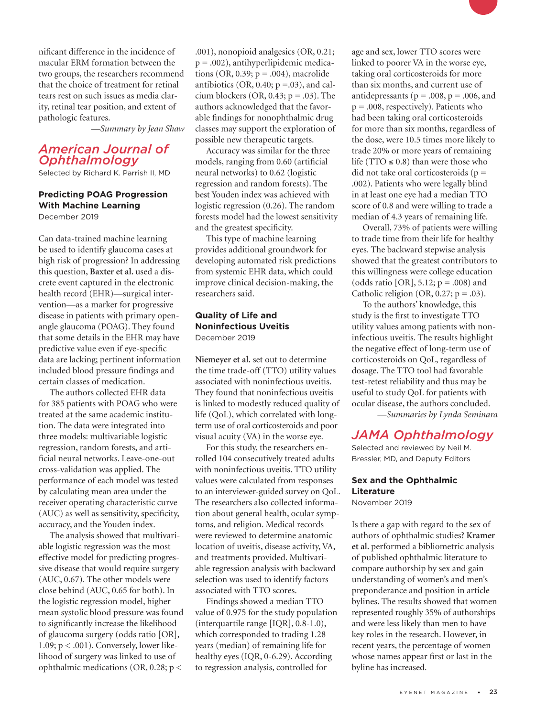nificant difference in the incidence of macular ERM formation between the two groups, the researchers recommend that the choice of treatment for retinal tears rest on such issues as media clarity, retinal tear position, and extent of pathologic features.

*—Summary by Jean Shaw*

## *American Journal of Ophthalmology*

Selected by Richard K. Parrish II, MD

#### **Predicting POAG Progression With Machine Learning** December 2019

Can data-trained machine learning be used to identify glaucoma cases at high risk of progression? In addressing this question, **Baxter et al.** used a discrete event captured in the electronic health record (EHR)—surgical intervention—as a marker for progressive disease in patients with primary openangle glaucoma (POAG). They found that some details in the EHR may have predictive value even if eye-specific data are lacking; pertinent information included blood pressure findings and certain classes of medication.

The authors collected EHR data for 385 patients with POAG who were treated at the same academic institution. The data were integrated into three models: multivariable logistic regression, random forests, and artificial neural networks. Leave-one-out cross-validation was applied. The performance of each model was tested by calculating mean area under the receiver operating characteristic curve (AUC) as well as sensitivity, specificity, accuracy, and the Youden index.

The analysis showed that multivariable logistic regression was the most effective model for predicting progressive disease that would require surgery (AUC, 0.67). The other models were close behind (AUC, 0.65 for both). In the logistic regression model, higher mean systolic blood pressure was found to significantly increase the likelihood of glaucoma surgery (odds ratio [OR], 1.09;  $p < .001$ ). Conversely, lower likelihood of surgery was linked to use of ophthalmic medications (OR, 0.28; p <

.001), nonopioid analgesics (OR, 0.21; p = .002), antihyperlipidemic medications (OR, 0.39;  $p = .004$ ), macrolide antibiotics (OR, 0.40;  $p = .03$ ), and calcium blockers (OR, 0.43;  $p = .03$ ). The authors acknowledged that the favorable findings for nonophthalmic drug classes may support the exploration of possible new therapeutic targets.

Accuracy was similar for the three models, ranging from 0.60 (artificial neural networks) to 0.62 (logistic regression and random forests). The best Youden index was achieved with logistic regression (0.26). The random forests model had the lowest sensitivity and the greatest specificity.

This type of machine learning provides additional groundwork for developing automated risk predictions from systemic EHR data, which could improve clinical decision-making, the researchers said.

#### **Quality of Life and Noninfectious Uveitis** December 2019

**Niemeyer et al.** set out to determine the time trade-off (TTO) utility values associated with noninfectious uveitis. They found that noninfectious uveitis is linked to modestly reduced quality of life (QoL), which correlated with longterm use of oral corticosteroids and poor visual acuity (VA) in the worse eye.

For this study, the researchers enrolled 104 consecutively treated adults with noninfectious uveitis. TTO utility values were calculated from responses to an interviewer-guided survey on QoL. The researchers also collected information about general health, ocular symptoms, and religion. Medical records were reviewed to determine anatomic location of uveitis, disease activity, VA, and treatments provided. Multivariable regression analysis with backward selection was used to identify factors associated with TTO scores.

Findings showed a median TTO value of 0.975 for the study population (interquartile range [IQR], 0.8-1.0), which corresponded to trading 1.28 years (median) of remaining life for healthy eyes (IQR, 0-6.29). According to regression analysis, controlled for

age and sex, lower TTO scores were linked to poorer VA in the worse eye, taking oral corticosteroids for more than six months, and current use of antidepressants ( $p = .008$ ,  $p = .006$ , and  $p = .008$ , respectively). Patients who had been taking oral corticosteroids for more than six months, regardless of the dose, were 10.5 times more likely to trade 20% or more years of remaining life (TTO  $\leq$  0.8) than were those who did not take oral corticosteroids ( $p =$ .002). Patients who were legally blind in at least one eye had a median TTO score of 0.8 and were willing to trade a median of 4.3 years of remaining life.

Overall, 73% of patients were willing to trade time from their life for healthy eyes. The backward stepwise analysis showed that the greatest contributors to this willingness were college education (odds ratio [OR],  $5.12$ ;  $p = .008$ ) and Catholic religion (OR,  $0.27$ ;  $p = .03$ ).

To the authors' knowledge, this study is the first to investigate TTO utility values among patients with noninfectious uveitis. The results highlight the negative effect of long-term use of corticosteroids on QoL, regardless of dosage. The TTO tool had favorable test-retest reliability and thus may be useful to study QoL for patients with ocular disease, the authors concluded.

*—Summaries by Lynda Seminara*

## *JAMA Ophthalmology*

Selected and reviewed by Neil M. Bressler, MD, and Deputy Editors

#### **Sex and the Ophthalmic Literature** November 2019

Is there a gap with regard to the sex of authors of ophthalmic studies? **Kramer et al.** performed a bibliometric analysis of published ophthalmic literature to compare authorship by sex and gain understanding of women's and men's preponderance and position in article bylines. The results showed that women represented roughly 35% of authorships and were less likely than men to have key roles in the research. However, in recent years, the percentage of women whose names appear first or last in the byline has increased.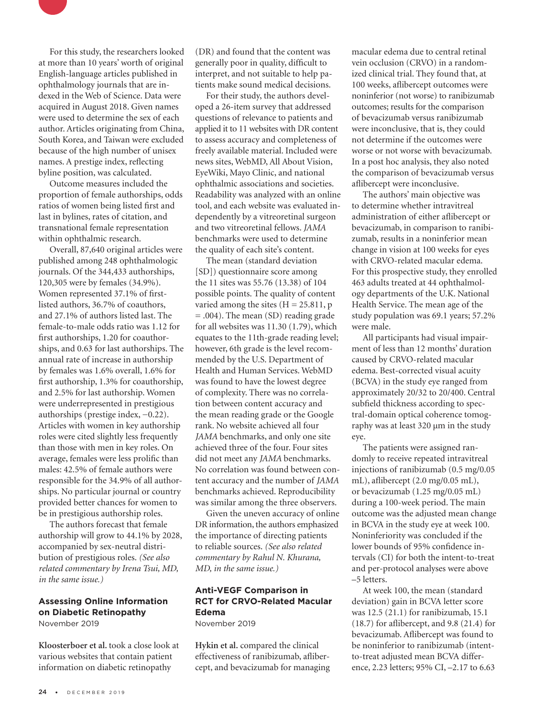

Outcome measures included the proportion of female authorships, odds ratios of women being listed first and last in bylines, rates of citation, and transnational female representation within ophthalmic research.

Overall, 87,640 original articles were published among 248 ophthalmologic journals. Of the 344,433 authorships, 120,305 were by females (34.9%). Women represented 37.1% of firstlisted authors, 36.7% of coauthors, and 27.1% of authors listed last. The female-to-male odds ratio was 1.12 for first authorships, 1.20 for coauthorships, and 0.63 for last authorships. The annual rate of increase in authorship by females was 1.6% overall, 1.6% for first authorship, 1.3% for coauthorship, and 2.5% for last authorship. Women were underrepresented in prestigious authorships (prestige index, −0.22). Articles with women in key authorship roles were cited slightly less frequently than those with men in key roles. On average, females were less prolific than males: 42.5% of female authors were responsible for the 34.9% of all authorships. No particular journal or country provided better chances for women to be in prestigious authorship roles.

The authors forecast that female authorship will grow to 44.1% by 2028, accompanied by sex-neutral distribution of prestigious roles. *(See also related commentary by Irena Tsui, MD, in the same issue.)*

#### **Assessing Online Information on Diabetic Retinopathy**  November 2019

**Kloosterboer et al.** took a close look at various websites that contain patient information on diabetic retinopathy

(DR) and found that the content was generally poor in quality, difficult to interpret, and not suitable to help patients make sound medical decisions.

For their study, the authors developed a 26-item survey that addressed questions of relevance to patients and applied it to 11 websites with DR content to assess accuracy and completeness of freely available material. Included were news sites, WebMD, All About Vision, EyeWiki, Mayo Clinic, and national ophthalmic associations and societies. Readability was analyzed with an online tool, and each website was evaluated independently by a vitreoretinal surgeon and two vitreoretinal fellows. *JAMA* benchmarks were used to determine the quality of each site's content.

The mean (standard deviation [SD]) questionnaire score among the 11 sites was 55.76 (13.38) of 104 possible points. The quality of content varied among the sites  $(H = 25.811, p$ = .004). The mean (SD) reading grade for all websites was 11.30 (1.79), which equates to the 11th-grade reading level; however, 6th grade is the level recommended by the U.S. Department of Health and Human Services. WebMD was found to have the lowest degree of complexity. There was no correlation between content accuracy and the mean reading grade or the Google rank. No website achieved all four *JAMA* benchmarks, and only one site achieved three of the four. Four sites did not meet any *JAMA* benchmarks. No correlation was found between content accuracy and the number of *JAMA* benchmarks achieved. Reproducibility was similar among the three observers.

Given the uneven accuracy of online DR information, the authors emphasized the importance of directing patients to reliable sources. *(See also related commentary by Rahul N. Khurana, MD, in the same issue.)*

#### **Anti-VEGF Comparison in RCT for CRVO-Related Macular Edema** November 2019

**Hykin et al.** compared the clinical effectiveness of ranibizumab, aflibercept, and bevacizumab for managing macular edema due to central retinal vein occlusion (CRVO) in a randomized clinical trial. They found that, at 100 weeks, aflibercept outcomes were noninferior (not worse) to ranibizumab outcomes; results for the comparison of bevacizumab versus ranibizumab were inconclusive, that is, they could not determine if the outcomes were worse or not worse with bevacizumab. In a post hoc analysis, they also noted the comparison of bevacizumab versus aflibercept were inconclusive.

The authors' main objective was to determine whether intravitreal administration of either aflibercept or bevacizumab, in comparison to ranibizumab, results in a noninferior mean change in vision at 100 weeks for eyes with CRVO-related macular edema. For this prospective study, they enrolled 463 adults treated at 44 ophthalmology departments of the U.K. National Health Service. The mean age of the study population was 69.1 years; 57.2% were male.

All participants had visual impairment of less than 12 months' duration caused by CRVO-related macular edema. Best-corrected visual acuity (BCVA) in the study eye ranged from approximately 20/32 to 20/400. Central subfield thickness according to spectral-domain optical coherence tomography was at least 320 μm in the study eye.

The patients were assigned randomly to receive repeated intravitreal injections of ranibizumab (0.5 mg/0.05 mL), aflibercept (2.0 mg/0.05 mL), or bevacizumab (1.25 mg/0.05 mL) during a 100-week period. The main outcome was the adjusted mean change in BCVA in the study eye at week 100. Noninferiority was concluded if the lower bounds of 95% confidence intervals (CI) for both the intent-to-treat and per-protocol analyses were above –5 letters.

At week 100, the mean (standard deviation) gain in BCVA letter score was 12.5 (21.1) for ranibizumab, 15.1 (18.7) for aflibercept, and 9.8 (21.4) for bevacizumab. Aflibercept was found to be noninferior to ranibizumab (intentto-treat adjusted mean BCVA difference, 2.23 letters; 95% CI, –2.17 to 6.63